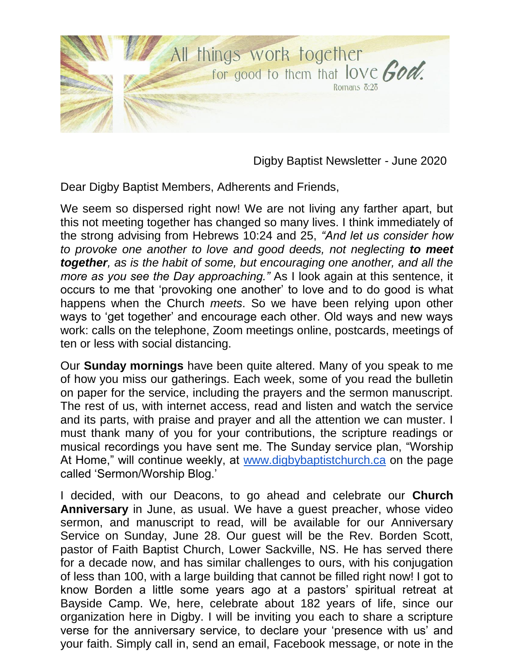

Digby Baptist Newsletter - June 2020

Dear Digby Baptist Members, Adherents and Friends,

We seem so dispersed right now! We are not living any farther apart, but this not meeting together has changed so many lives. I think immediately of the strong advising from Hebrews 10:24 and 25, *"And let us consider how to provoke one another to love and good deeds, not neglecting to meet together, as is the habit of some, but encouraging one another, and all the more as you see the Day approaching."* As I look again at this sentence, it occurs to me that 'provoking one another' to love and to do good is what happens when the Church *meets*. So we have been relying upon other ways to 'get together' and encourage each other. Old ways and new ways work: calls on the telephone, Zoom meetings online, postcards, meetings of ten or less with social distancing.

Our **Sunday mornings** have been quite altered. Many of you speak to me of how you miss our gatherings. Each week, some of you read the bulletin on paper for the service, including the prayers and the sermon manuscript. The rest of us, with internet access, read and listen and watch the service and its parts, with praise and prayer and all the attention we can muster. I must thank many of you for your contributions, the scripture readings or musical recordings you have sent me. The Sunday service plan, "Worship At Home," will continue weekly, at [www.digbybaptistchurch.ca](http://www.digbybaptistchurch.ca/) on the page called 'Sermon/Worship Blog.'

I decided, with our Deacons, to go ahead and celebrate our **Church Anniversary** in June, as usual. We have a guest preacher, whose video sermon, and manuscript to read, will be available for our Anniversary Service on Sunday, June 28. Our guest will be the Rev. Borden Scott, pastor of Faith Baptist Church, Lower Sackville, NS. He has served there for a decade now, and has similar challenges to ours, with his conjugation of less than 100, with a large building that cannot be filled right now! I got to know Borden a little some years ago at a pastors' spiritual retreat at Bayside Camp. We, here, celebrate about 182 years of life, since our organization here in Digby. I will be inviting you each to share a scripture verse for the anniversary service, to declare your 'presence with us' and your faith. Simply call in, send an email, Facebook message, or note in the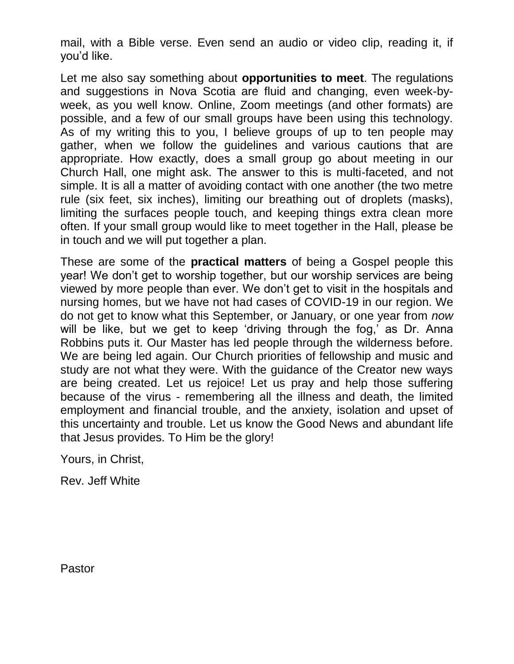mail, with a Bible verse. Even send an audio or video clip, reading it, if you'd like.

Let me also say something about **opportunities to meet**. The regulations and suggestions in Nova Scotia are fluid and changing, even week-byweek, as you well know. Online, Zoom meetings (and other formats) are possible, and a few of our small groups have been using this technology. As of my writing this to you, I believe groups of up to ten people may gather, when we follow the guidelines and various cautions that are appropriate. How exactly, does a small group go about meeting in our Church Hall, one might ask. The answer to this is multi-faceted, and not simple. It is all a matter of avoiding contact with one another (the two metre rule (six feet, six inches), limiting our breathing out of droplets (masks), limiting the surfaces people touch, and keeping things extra clean more often. If your small group would like to meet together in the Hall, please be in touch and we will put together a plan.

These are some of the **practical matters** of being a Gospel people this year! We don't get to worship together, but our worship services are being viewed by more people than ever. We don't get to visit in the hospitals and nursing homes, but we have not had cases of COVID-19 in our region. We do not get to know what this September, or January, or one year from *now*  will be like, but we get to keep 'driving through the fog,' as Dr. Anna Robbins puts it. Our Master has led people through the wilderness before. We are being led again. Our Church priorities of fellowship and music and study are not what they were. With the guidance of the Creator new ways are being created. Let us rejoice! Let us pray and help those suffering because of the virus - remembering all the illness and death, the limited employment and financial trouble, and the anxiety, isolation and upset of this uncertainty and trouble. Let us know the Good News and abundant life that Jesus provides. To Him be the glory!

Yours, in Christ,

Rev. Jeff White

Pastor